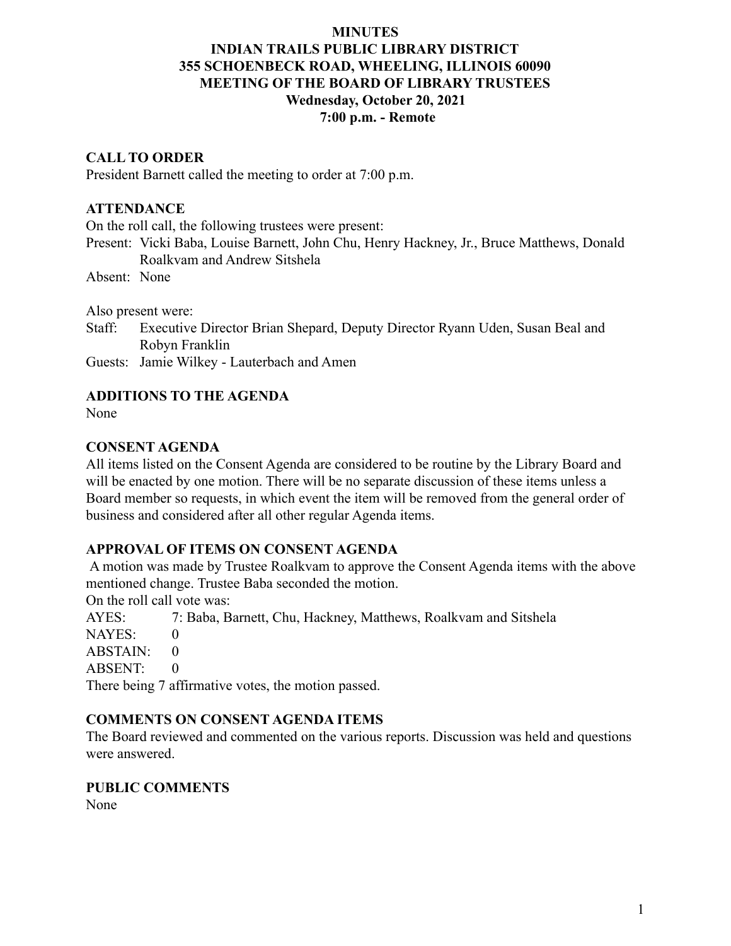### **MINUTES**

# **INDIAN TRAILS PUBLIC LIBRARY DISTRICT 355 SCHOENBECK ROAD, WHEELING, ILLINOIS 60090 MEETING OF THE BOARD OF LIBRARY TRUSTEES Wednesday, October 20, 2021 7:00 p.m. - Remote**

#### **CALL TO ORDER**

President Barnett called the meeting to order at 7:00 p.m.

### **ATTENDANCE**

On the roll call, the following trustees were present:

Present: Vicki Baba, Louise Barnett, John Chu, Henry Hackney, Jr., Bruce Matthews, Donald Roalkvam and Andrew Sitshela

Absent: None

Also present were:

Staff: Executive Director Brian Shepard, Deputy Director Ryann Uden, Susan Beal and Robyn Franklin

Guests: Jamie Wilkey - Lauterbach and Amen

### **ADDITIONS TO THE AGENDA**

None

### **CONSENT AGENDA**

All items listed on the Consent Agenda are considered to be routine by the Library Board and will be enacted by one motion. There will be no separate discussion of these items unless a Board member so requests, in which event the item will be removed from the general order of business and considered after all other regular Agenda items.

#### **APPROVAL OF ITEMS ON CONSENT AGENDA**

A motion was made by Trustee Roalkvam to approve the Consent Agenda items with the above mentioned change. Trustee Baba seconded the motion.

On the roll call vote was:

AYES: 7: Baba, Barnett, Chu, Hackney, Matthews, Roalkvam and Sitshela

NAYES: 0

ABSTAIN: 0

ABSENT: 0

There being 7 affirmative votes, the motion passed.

#### **COMMENTS ON CONSENT AGENDA ITEMS**

The Board reviewed and commented on the various reports. Discussion was held and questions were answered.

#### **PUBLIC COMMENTS**

None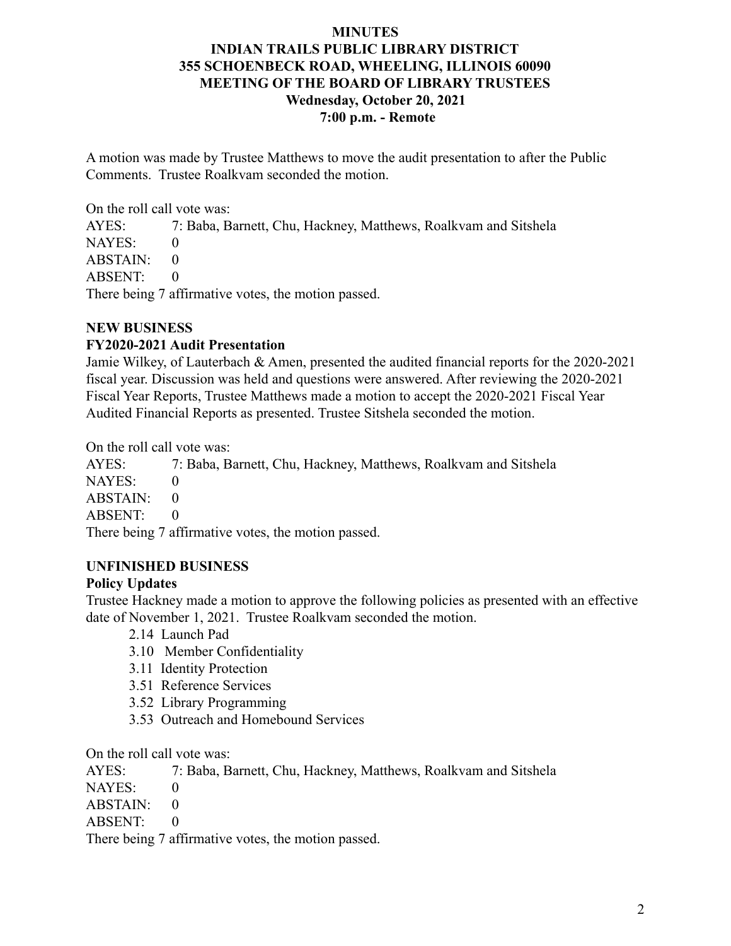## **MINUTES INDIAN TRAILS PUBLIC LIBRARY DISTRICT 355 SCHOENBECK ROAD, WHEELING, ILLINOIS 60090 MEETING OF THE BOARD OF LIBRARY TRUSTEES Wednesday, October 20, 2021 7:00 p.m. - Remote**

A motion was made by Trustee Matthews to move the audit presentation to after the Public Comments. Trustee Roalkvam seconded the motion.

On the roll call vote was:

AYES: 7: Baba, Barnett, Chu, Hackney, Matthews, Roalkvam and Sitshela NAYES: 0  $ABSTAIN: 0$ ABSENT: 0 There being 7 affirmative votes, the motion passed.

## **NEW BUSINESS**

## **FY2020-2021 Audit Presentation**

Jamie Wilkey, of Lauterbach & Amen, presented the audited financial reports for the 2020-2021 fiscal year. Discussion was held and questions were answered. After reviewing the 2020-2021 Fiscal Year Reports, Trustee Matthews made a motion to accept the 2020-2021 Fiscal Year Audited Financial Reports as presented. Trustee Sitshela seconded the motion.

On the roll call vote was:

AYES: 7: Baba, Barnett, Chu, Hackney, Matthews, Roalkvam and Sitshela NAYES: 0  $ABSTAIN: 0$ ABSENT: 0 There being 7 affirmative votes, the motion passed.

## **UNFINISHED BUSINESS**

## **Policy Updates**

Trustee Hackney made a motion to approve the following policies as presented with an effective date of November 1, 2021. Trustee Roalkvam seconded the motion.

2.14 Launch Pad

- 3.10 Member Confidentiality
- 3.11 Identity Protection
- 3.51 Reference Services
- 3.52 Library Programming
- 3.53 Outreach and Homebound Services

On the roll call vote was:

AYES: 7: Baba, Barnett, Chu, Hackney, Matthews, Roalkvam and Sitshela

NAYES: 0

- $ABSTAIN: 0$
- ABSENT: 0

There being 7 affirmative votes, the motion passed.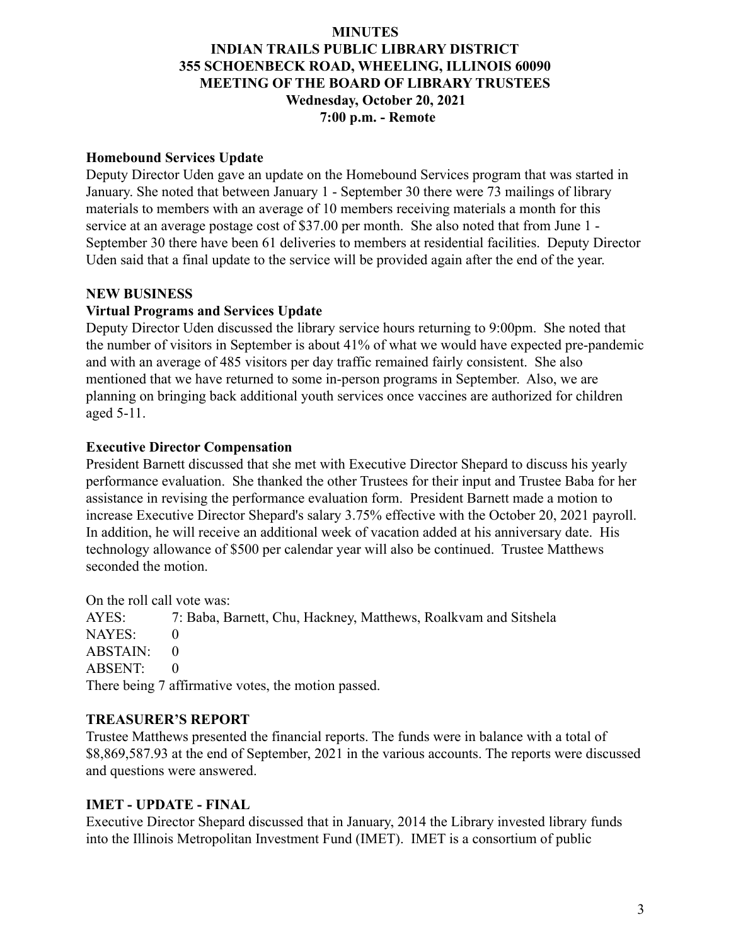### **MINUTES**

# **INDIAN TRAILS PUBLIC LIBRARY DISTRICT 355 SCHOENBECK ROAD, WHEELING, ILLINOIS 60090 MEETING OF THE BOARD OF LIBRARY TRUSTEES Wednesday, October 20, 2021 7:00 p.m. - Remote**

### **Homebound Services Update**

Deputy Director Uden gave an update on the Homebound Services program that was started in January. She noted that between January 1 - September 30 there were 73 mailings of library materials to members with an average of 10 members receiving materials a month for this service at an average postage cost of \$37.00 per month. She also noted that from June 1 - September 30 there have been 61 deliveries to members at residential facilities. Deputy Director Uden said that a final update to the service will be provided again after the end of the year.

## **NEW BUSINESS**

# **Virtual Programs and Services Update**

Deputy Director Uden discussed the library service hours returning to 9:00pm. She noted that the number of visitors in September is about 41% of what we would have expected pre-pandemic and with an average of 485 visitors per day traffic remained fairly consistent. She also mentioned that we have returned to some in-person programs in September. Also, we are planning on bringing back additional youth services once vaccines are authorized for children aged 5-11.

## **Executive Director Compensation**

President Barnett discussed that she met with Executive Director Shepard to discuss his yearly performance evaluation. She thanked the other Trustees for their input and Trustee Baba for her assistance in revising the performance evaluation form. President Barnett made a motion to increase Executive Director Shepard's salary 3.75% effective with the October 20, 2021 payroll. In addition, he will receive an additional week of vacation added at his anniversary date. His technology allowance of \$500 per calendar year will also be continued. Trustee Matthews seconded the motion.

On the roll call vote was:

AYES: 7: Baba, Barnett, Chu, Hackney, Matthews, Roalkvam and Sitshela NAYES: 0 ABSTAIN: 0 ABSENT: 0 There being 7 affirmative votes, the motion passed.

## **TREASURER'S REPORT**

Trustee Matthews presented the financial reports. The funds were in balance with a total of \$8,869,587.93 at the end of September, 2021 in the various accounts. The reports were discussed and questions were answered.

## **IMET - UPDATE - FINAL**

Executive Director Shepard discussed that in January, 2014 the Library invested library funds into the Illinois Metropolitan Investment Fund (IMET). IMET is a consortium of public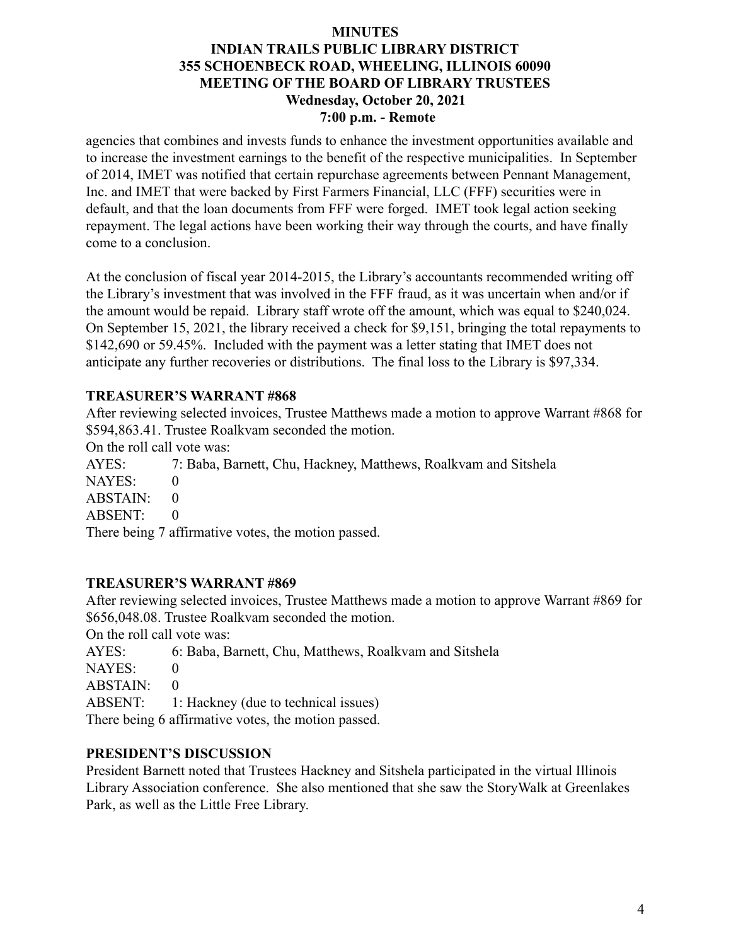### **MINUTES INDIAN TRAILS PUBLIC LIBRARY DISTRICT 355 SCHOENBECK ROAD, WHEELING, ILLINOIS 60090 MEETING OF THE BOARD OF LIBRARY TRUSTEES Wednesday, October 20, 2021 7:00 p.m. - Remote**

agencies that combines and invests funds to enhance the investment opportunities available and to increase the investment earnings to the benefit of the respective municipalities. In September of 2014, IMET was notified that certain repurchase agreements between Pennant Management, Inc. and IMET that were backed by First Farmers Financial, LLC (FFF) securities were in default, and that the loan documents from FFF were forged. IMET took legal action seeking repayment. The legal actions have been working their way through the courts, and have finally come to a conclusion.

At the conclusion of fiscal year 2014-2015, the Library's accountants recommended writing off the Library's investment that was involved in the FFF fraud, as it was uncertain when and/or if the amount would be repaid. Library staff wrote off the amount, which was equal to \$240,024. On September 15, 2021, the library received a check for \$9,151, bringing the total repayments to \$142,690 or 59.45%. Included with the payment was a letter stating that IMET does not anticipate any further recoveries or distributions. The final loss to the Library is \$97,334.

# **TREASURER'S WARRANT #868**

After reviewing selected invoices, Trustee Matthews made a motion to approve Warrant #868 for \$594,863.41. Trustee Roalkvam seconded the motion.

On the roll call vote was:

AYES: 7: Baba, Barnett, Chu, Hackney, Matthews, Roalkvam and Sitshela

NAYES: 0

ABSTAIN: 0

ABSENT: 0

There being 7 affirmative votes, the motion passed.

## **TREASURER'S WARRANT #869**

After reviewing selected invoices, Trustee Matthews made a motion to approve Warrant #869 for \$656,048.08. Trustee Roalkvam seconded the motion.

On the roll call vote was:

AYES: 6: Baba, Barnett, Chu, Matthews, Roalkvam and Sitshela

NAYES: 0

 $ABSTAIN: 0$ 

ABSENT: 1: Hackney (due to technical issues)

There being 6 affirmative votes, the motion passed.

## **PRESIDENT'S DISCUSSION**

President Barnett noted that Trustees Hackney and Sitshela participated in the virtual Illinois Library Association conference. She also mentioned that she saw the StoryWalk at Greenlakes Park, as well as the Little Free Library.